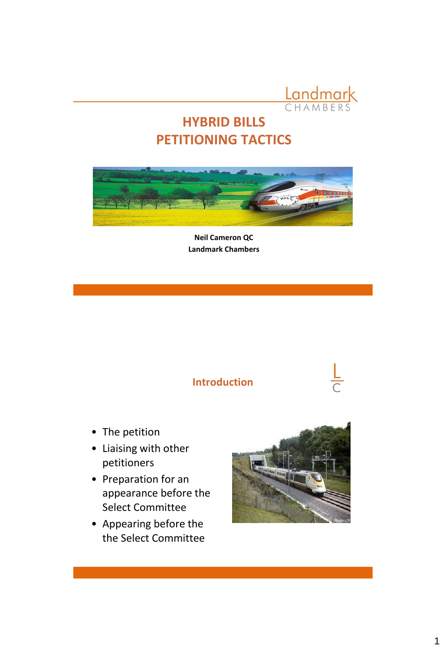

## **HYBRID BILLS PETITIONING TACTICS**



**Neil Cameron QC Landmark Chambers** 

#### **Introduction**



- The petition
- Liaising with other petitioners
- Preparation for an appearance before the Select Committee
- Appearing before the the Select Committee

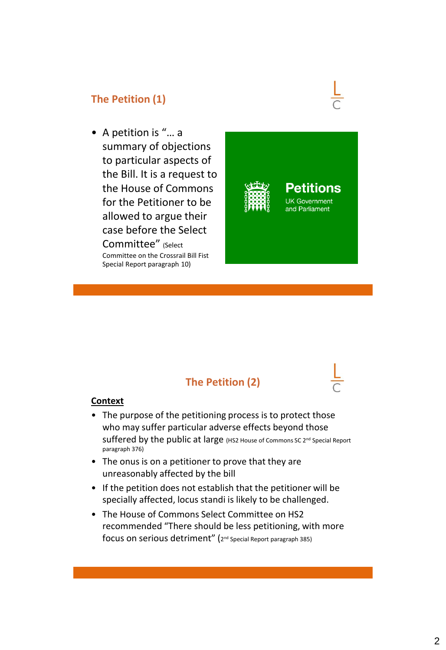#### **The Petition (1)**

• A petition is "… a summary of objections to particular aspects of the Bill. It is a request to the House of Commons for the Petitioner to be allowed to argue their case before the Select Committee" (Select Committee on the Crossrail Bill Fist Special Report paragraph 10)



tions

## **The Petition (2)**

#### **Context**

- The purpose of the petitioning process is to protect those who may suffer particular adverse effects beyond those Suffered by the public at large (HS2 House of Commons SC 2<sup>nd</sup> Special Report paragraph 376)
- The onus is on a petitioner to prove that they are unreasonably affected by the bill
- If the petition does not establish that the petitioner will be specially affected, locus standi is likely to be challenged.
- The House of Commons Select Committee on HS2 recommended "There should be less petitioning, with more  $\mathop{\mathsf{focus}}$  on serious  $\mathop{\mathsf{detriment}}\nolimits''$  (2nd Special Report paragraph 385)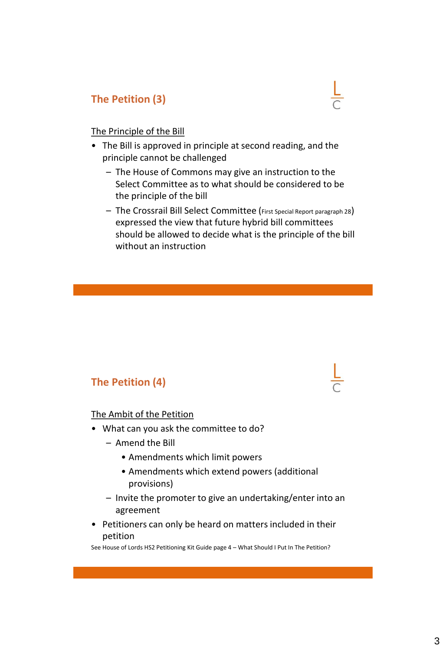#### **The Petition (3)**

#### The Principle of the Bill

- The Bill is approved in principle at second reading, and the principle cannot be challenged
	- The House of Commons may give an instruction to the Select Committee as to what should be considered to be the principle of the bill
	- The Crossrail Bill Select Committee (First Special Report paragraph 28) expressed the view that future hybrid bill committees should be allowed to decide what is the principle of the bill without an instruction

#### **The Petition (4)**

#### The Ambit of the Petition

- What can you ask the committee to do?
	- Amend the Bill
		- Amendments which limit powers
		- Amendments which extend powers (additional provisions)
	- Invite the promoter to give an undertaking/enter into an agreement
- Petitioners can only be heard on matters included in their petition

See House of Lords HS2 Petitioning Kit Guide page 4 – What Should I Put In The Petition?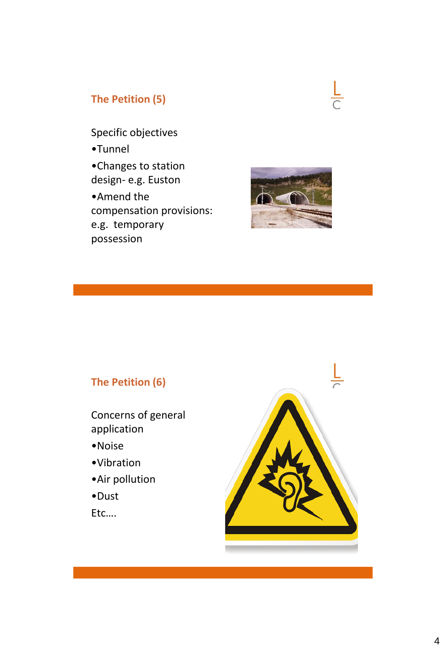#### **The Petition (5)**

Specific objectives •Tunnel •Changes to station design- e.g. Euston •Amend the compensation provisions: e.g. temporary possession



## **The Petition (6)**

- Concerns of general application
- •Noise
- •Vibration
- •Air pollution
- •Dust
- Etc….

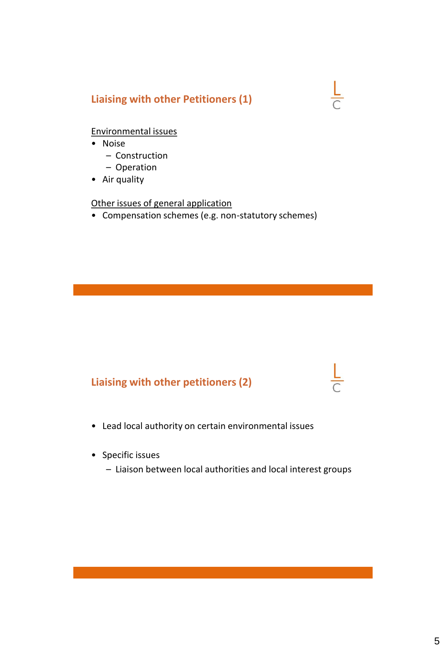#### **Liaising with other Petitioners (1)**

#### Environmental issues

- Noise
	- Construction
	- Operation
- Air quality

Other issues of general application

• Compensation schemes (e.g. non-statutory schemes)

#### **Liaising with other petitioners (2)**

- Lead local authority on certain environmental issues
- Specific issues
	- Liaison between local authorities and local interest groups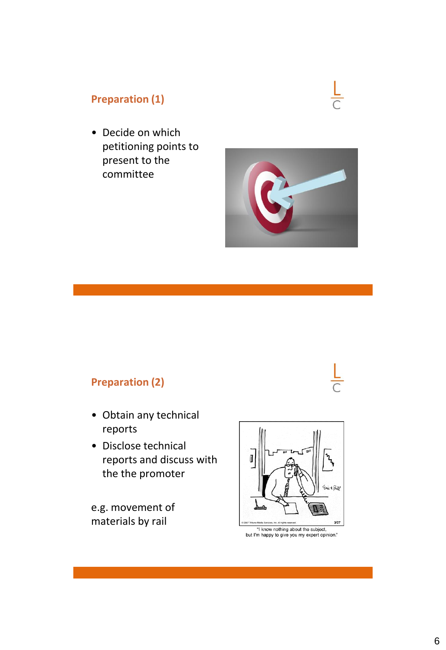## **Preparation (1)**

• Decide on which petitioning points to present to the committee



#### **Preparation (2)**

- Obtain any technical reports
- Disclose technical reports and discuss with the the promoter

e.g. movement of materials by rail



but I'm happy to give you my expert opinion."

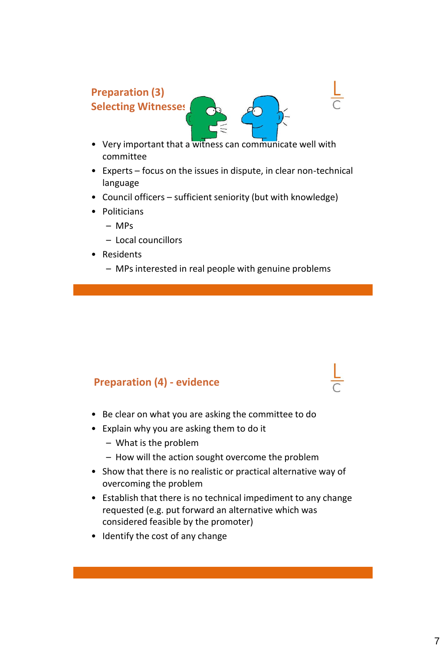# **Preparation (3) Selecting Witnesses**

- Very important that a witness can communicate well with committee
- Experts focus on the issues in dispute, in clear non-technical language
- Council officers sufficient seniority (but with knowledge)
- Politicians
	- MPs
	- Local councillors
- Residents
	- MPs interested in real people with genuine problems

## **Preparation (4) - evidence**

- Be clear on what you are asking the committee to do
- Explain why you are asking them to do it
	- What is the problem
	- How will the action sought overcome the problem
- Show that there is no realistic or practical alternative way of overcoming the problem
- Establish that there is no technical impediment to any change requested (e.g. put forward an alternative which was considered feasible by the promoter)
- Identify the cost of any change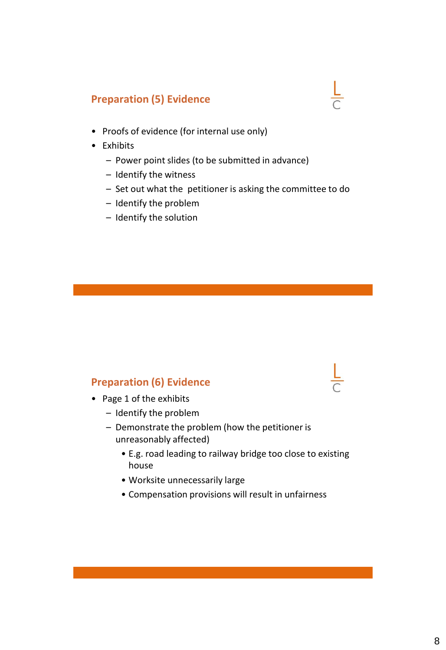#### **Preparation (5) Evidence**

- Proofs of evidence (for internal use only)
- Exhibits
	- Power point slides (to be submitted in advance)
	- Identify the witness
	- Set out what the petitioner is asking the committee to do
	- Identify the problem
	- Identify the solution

#### **Preparation (6) Evidence**

- Page 1 of the exhibits
	- Identify the problem
	- Demonstrate the problem (how the petitioner is unreasonably affected)
		- E.g. road leading to railway bridge too close to existing house
		- Worksite unnecessarily large
		- Compensation provisions will result in unfairness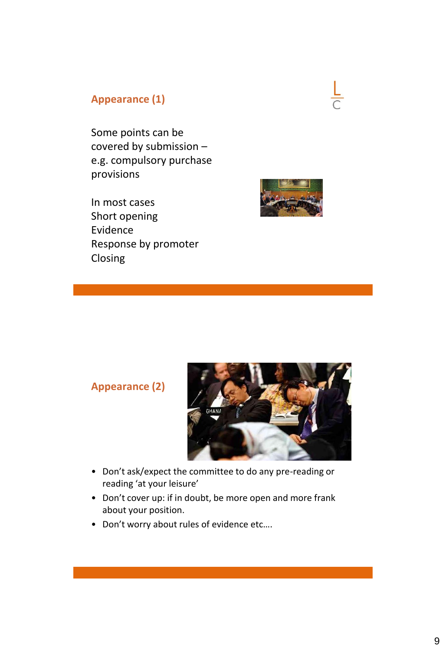#### **Appearance (1)**

Some points can be covered by submission – e.g. compulsory purchase provisions

In most cases Short opening Evidence Response by promoter Closing



#### **Appearance (2)**



- Don't ask/expect the committee to do any pre-reading or reading 'at your leisure'
- Don't cover up: if in doubt, be more open and more frank about your position.
- Don't worry about rules of evidence etc….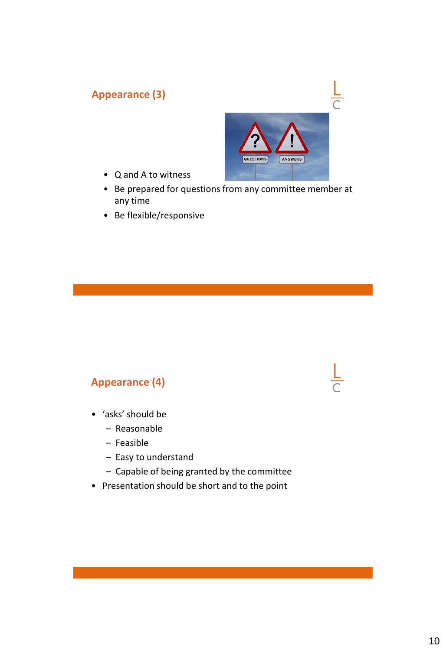#### **Appearance (3)**



- Q and A to witness
- Be prepared for questions from any committee member at any time
- Be flexible/responsive

#### **Appearance (4)**

- 'asks' should be
	- Reasonable
	- Feasible
	- Easy to understand
	- Capable of being granted by the committee
- Presentation should be short and to the point